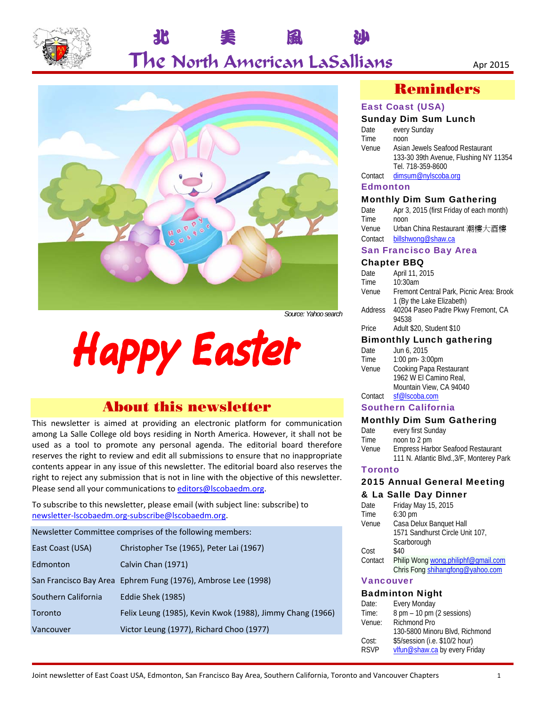

## 北 美 風 沙 The North American LaSallians Apr 2015



# **Happy Easter**

### About this newsletter

This newsletter is aimed at providing an electronic platform for communication among La Salle College old boys residing in North America. However, it shall not be used as a tool to promote any personal agenda. The editorial board therefore reserves the right to review and edit all submissions to ensure that no inappropriate contents appear in any issue of this newsletter. The editorial board also reserves the right to reject any submission that is not in line with the objective of this newsletter. Please send all your communications to editors@lscobaedm.org.

To subscribe to this newsletter, please email (with subject line: subscribe) to newsletter-lscobaedm.org-subscribe@lscobaedm.org.

Newsletter Committee comprises of the following members: East Coast (USA) Christopher Tse (1965), Peter Lai (1967) Edmonton Calvin Chan (1971) San Francisco Bay Area Ephrem Fung (1976), Ambrose Lee (1998) Southern California Eddie Shek (1985) Toronto Felix Leung (1985), Kevin Kwok (1988), Jimmy Chang (1966) Vancouver Victor Leung (1977), Richard Choo (1977)

## Reminders

#### East Coast (USA)

#### Sunday Dim Sum Lunch

| Date    | every Sunday                          |
|---------|---------------------------------------|
| Time    | noon                                  |
| Venue   | Asian Jewels Seafood Restaurant       |
|         | 133-30 39th Avenue, Flushing NY 11354 |
|         | Tel. 718-359-8600                     |
| Contact | dimsum@nylscoba.org                   |
|         |                                       |

#### **Edmonton**

#### Monthly Dim Sum Gathering

| Date    | Apr 3, 2015 (first Friday of each month) |
|---------|------------------------------------------|
| Time    | noon                                     |
| Venue   | Urban China Restaurant 潮樓大酒樓             |
| Contact | billshwong@shaw.ca                       |
|         |                                          |

#### San Francisco Bay Area

#### Chapter BBQ

| Date    | April 11, 2015                           |
|---------|------------------------------------------|
| Time    | 10:30am                                  |
| Venue   | Fremont Central Park, Picnic Area: Brook |
|         | 1 (By the Lake Elizabeth)                |
| Address | 40204 Paseo Padre Pkwy Fremont, CA       |
|         | 94538                                    |
| Price   | Adult \$20, Student \$10                 |
|         | .                                        |

#### Bimonthly Lunch gathering

| Date    | Jun 6, 2015             |
|---------|-------------------------|
| Time    | 1:00 pm- $3:00$ pm      |
| Venue   | Cooking Papa Restaurant |
|         | 1962 W El Camino Real,  |
|         | Mountain View, CA 94040 |
| Contact | sf@lscoba.com           |

#### Southern California

#### Monthly Dim Sum Gathering

|       | --                                        |
|-------|-------------------------------------------|
| Date  | every first Sunday                        |
| Time  | noon to 2 pm                              |
| Venue | <b>Empress Harbor Seafood Restaurant</b>  |
|       | 111 N. Atlantic Blvd., 3/F, Monterey Park |

#### **Toronto**

#### 2015 Annual General Meeting & La Salle Day Dinner

| Date    | Friday May 15, 2015                 |
|---------|-------------------------------------|
| Time    | $6:30$ pm                           |
| Venue   | Casa Delux Banguet Hall             |
|         | 1571 Sandhurst Circle Unit 107,     |
|         | Scarborough                         |
| Cost    | \$40                                |
| Contact | Philip Wong wong philiphf@gmail.com |
|         | Chris Fong shihangfong@yahoo.com    |
|         |                                     |

#### Vancouver

#### Badminton Night

| Date:       | <b>Every Monday</b>                         |
|-------------|---------------------------------------------|
| Time:       | $8 \text{ pm} - 10 \text{ pm}$ (2 sessions) |
| Venue:      | Richmond Pro                                |
|             | 130-5800 Minoru Blvd, Richmond              |
| Cost:       | \$5/session (i.e. \$10/2 hour)              |
| <b>RSVP</b> | vlfun@shaw.ca by every Friday               |
|             |                                             |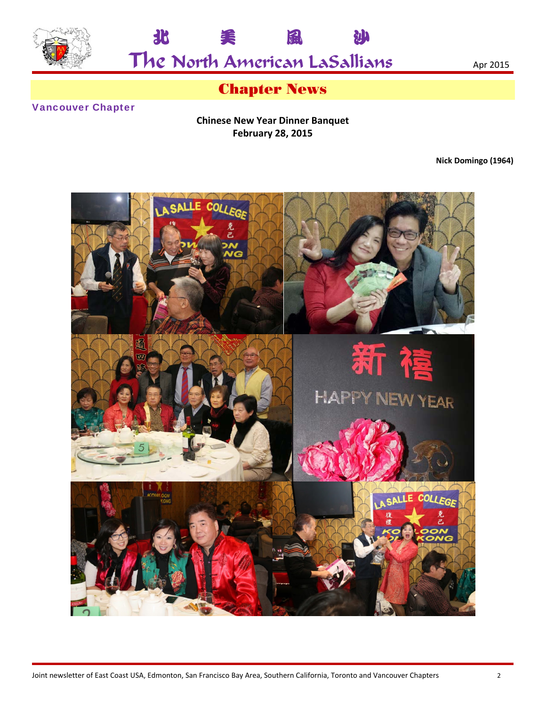



## Chapter News

#### Vancouver Chapter

**Chinese New Year Dinner Banquet February 28, 2015** 

**Nick Domingo (1964)** 

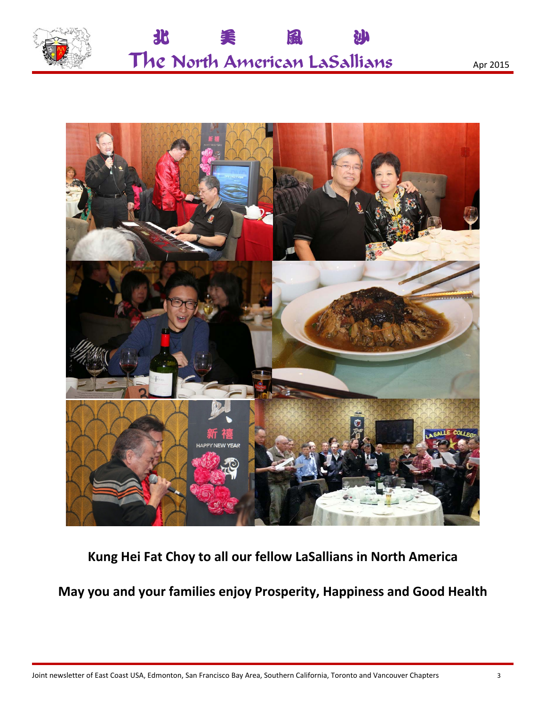



**Kung Hei Fat Choy to all our fellow LaSallians in North America** 

**May you and your families enjoy Prosperity, Happiness and Good Health**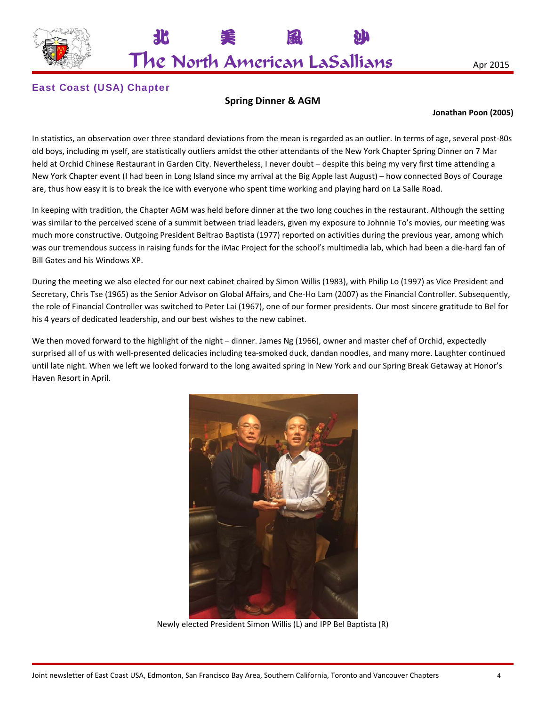

The North American LaSallians Apr 2015

北 美 風 沙

#### East Coast (USA) Chapter

#### **Spring Dinner & AGM**

#### **Jonathan Poon (2005)**

In statistics, an observation over three standard deviations from the mean is regarded as an outlier. In terms of age, several post-80s old boys, including m yself, are statistically outliers amidst the other attendants of the New York Chapter Spring Dinner on 7 Mar held at Orchid Chinese Restaurant in Garden City. Nevertheless, I never doubt – despite this being my very first time attending a New York Chapter event (I had been in Long Island since my arrival at the Big Apple last August) – how connected Boys of Courage are, thus how easy it is to break the ice with everyone who spent time working and playing hard on La Salle Road.

In keeping with tradition, the Chapter AGM was held before dinner at the two long couches in the restaurant. Although the setting was similar to the perceived scene of a summit between triad leaders, given my exposure to Johnnie To's movies, our meeting was much more constructive. Outgoing President Beltrao Baptista (1977) reported on activities during the previous year, among which was our tremendous success in raising funds for the iMac Project for the school's multimedia lab, which had been a die-hard fan of Bill Gates and his Windows XP.

During the meeting we also elected for our next cabinet chaired by Simon Willis (1983), with Philip Lo (1997) as Vice President and Secretary, Chris Tse (1965) as the Senior Advisor on Global Affairs, and Che-Ho Lam (2007) as the Financial Controller. Subsequently, the role of Financial Controller was switched to Peter Lai (1967), one of our former presidents. Our most sincere gratitude to Bel for his 4 years of dedicated leadership, and our best wishes to the new cabinet.

We then moved forward to the highlight of the night – dinner. James Ng (1966), owner and master chef of Orchid, expectedly surprised all of us with well-presented delicacies including tea-smoked duck, dandan noodles, and many more. Laughter continued until late night. When we left we looked forward to the long awaited spring in New York and our Spring Break Getaway at Honor's Haven Resort in April.



Newly elected President Simon Willis (L) and IPP Bel Baptista (R)